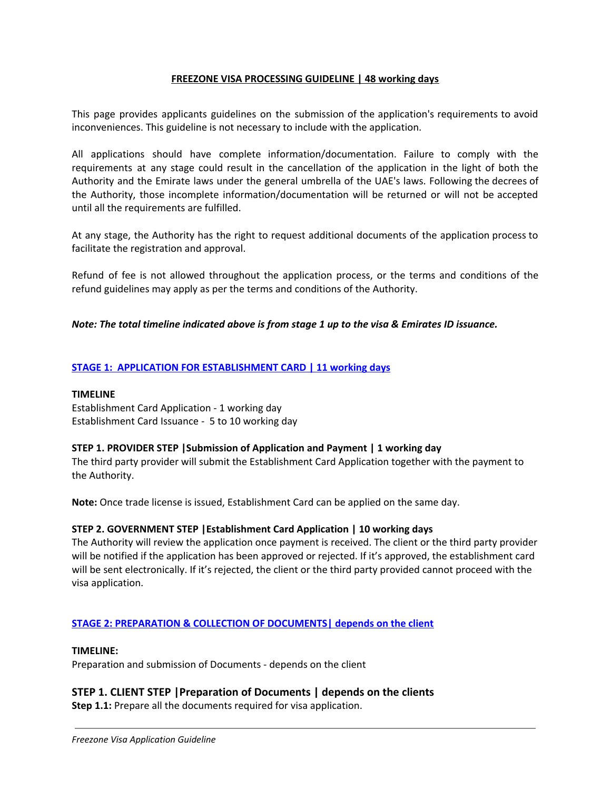## **FREEZONE VISA PROCESSING GUIDELINE | 48 working days**

This page provides applicants guidelines on the submission of the application's requirements to avoid inconveniences. This guideline is not necessary to include with the application.

All applications should have complete information/documentation. Failure to comply with the requirements at any stage could result in the cancellation of the application in the light of both the Authority and the Emirate laws under the general umbrella of the UAE's laws. Following the decrees of the Authority, those incomplete information/documentation will be returned or will not be accepted until all the requirements are fulfilled.

At any stage, the Authority has the right to request additional documents of the application process to facilitate the registration and approval.

Refund of fee is not allowed throughout the application process, or the terms and conditions of the refund guidelines may apply as per the terms and conditions of the Authority.

## *Note: The total timeline indicated above is from stage 1 up to the visa & Emirates ID issuance.*

## **STAGE 1: APPLICATION FOR ESTABLISHMENT CARD | 11 working days**

#### **TIMELINE**

Establishment Card Application - 1 working day Establishment Card Issuance - 5 to 10 working day

#### **STEP 1. PROVIDER STEP |Submission of Application and Payment | 1 working day**

The third party provider will submit the Establishment Card Application together with the payment to the Authority.

**Note:** Once trade license is issued, Establishment Card can be applied on the same day.

#### **STEP 2. GOVERNMENT STEP |Establishment Card Application | 10 working days**

The Authority will review the application once payment is received. The client or the third party provider will be notified if the application has been approved or rejected. If it's approved, the establishment card will be sent electronically. If it's rejected, the client or the third party provided cannot proceed with the visa application.

#### **STAGE 2: PREPARATION & COLLECTION OF DOCUMENTS| depends on the client**

#### **TIMELINE:**

Preparation and submission of Documents - depends on the client

# **STEP 1. CLIENT STEP |Preparation of Documents | depends on the clients**

**Step 1.1:** Prepare all the documents required for visa application.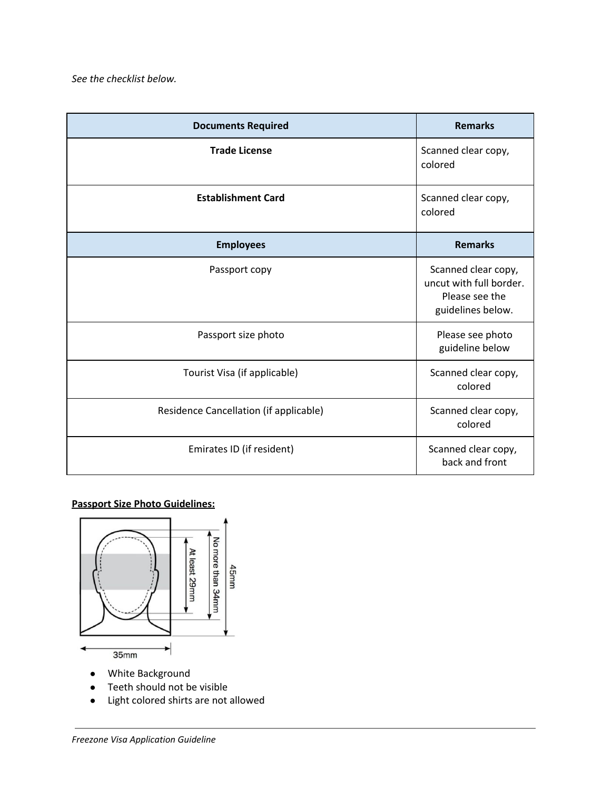| <b>Documents Required</b>              | <b>Remarks</b>                                                                        |
|----------------------------------------|---------------------------------------------------------------------------------------|
| <b>Trade License</b>                   | Scanned clear copy,<br>colored                                                        |
| <b>Establishment Card</b>              | Scanned clear copy,<br>colored                                                        |
| <b>Employees</b>                       | <b>Remarks</b>                                                                        |
| Passport copy                          | Scanned clear copy,<br>uncut with full border.<br>Please see the<br>guidelines below. |
| Passport size photo                    | Please see photo<br>guideline below                                                   |
| Tourist Visa (if applicable)           | Scanned clear copy,<br>colored                                                        |
| Residence Cancellation (if applicable) | Scanned clear copy,<br>colored                                                        |
| Emirates ID (if resident)              | Scanned clear copy,<br>back and front                                                 |

## **Passport Size Photo Guidelines:**



- **●** White Background
- **●** Teeth should not be visible
- **●** Light colored shirts are not allowed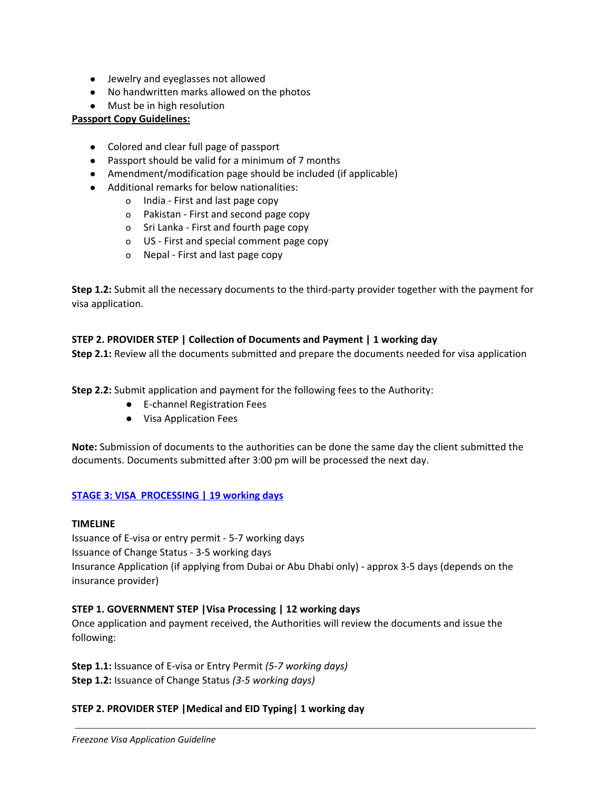- **●** Jewelry and eyeglasses not allowed
- **●** No handwritten marks allowed on the photos
- **●** Must be in high resolution

## **Passport Copy Guidelines:**

- Colored and clear full page of passport
- Passport should be valid for a minimum of 7 months
- Amendment/modification page should be included (if applicable)
- Additional remarks for below nationalities:
	- o India First and last page copy
	- o Pakistan First and second page copy
	- o Sri Lanka First and fourth page copy
	- o US First and special comment page copy
	- o Nepal First and last page copy

**Step 1.2:** Submit all the necessary documents to the third-party provider together with the payment for visa application.

#### **STEP 2. PROVIDER STEP | Collection of Documents and Payment | 1 working day**

**Step 2.1:** Review all the documents submitted and prepare the documents needed for visa application

**Step 2.2:** Submit application and payment for the following fees to the Authority:

- E-channel Registration Fees
- Visa Application Fees

**Note:** Submission of documents to the authorities can be done the same day the client submitted the documents. Documents submitted after 3:00 pm will be processed the next day.

#### **STAGE 3: VISA PROCESSING | 19 working days**

#### **TIMELINE**

Issuance of E-visa or entry permit - 5-7 working days Issuance of Change Status - 3-5 working days Insurance Application (if applying from Dubai or Abu Dhabi only) - approx 3-5 days (depends on the insurance provider)

#### **STEP 1. GOVERNMENT STEP |Visa Processing | 12 working days**

Once application and payment received, the Authorities will review the documents and issue the following:

**Step 1.1:** Issuance of E-visa or Entry Permit *(5-7 working days)* **Step 1.2:** Issuance of Change Status *(3-5 working days)*

#### **STEP 2. PROVIDER STEP |Medical and EID Typing| 1 working day**